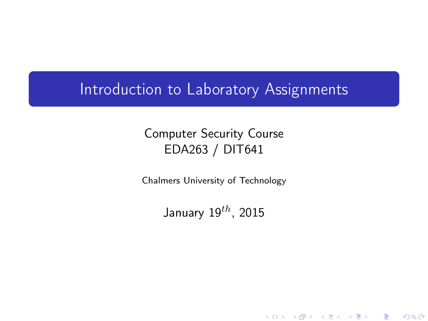#### Introduction to Laboratory Assignments

#### Computer Security Course EDA263 / DIT641

Chalmers University of Technology

<span id="page-0-0"></span>January  $19^{th}$ , 2015

メロト メ御 ドメ 君 ドメ 君 ドッ 君

 $2Q$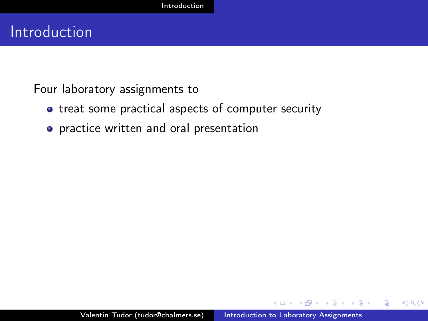## Introduction

Four laboratory assignments to

- treat some practical aspects of computer security
- **•** practice written and oral presentation

<span id="page-1-0"></span> $QQ$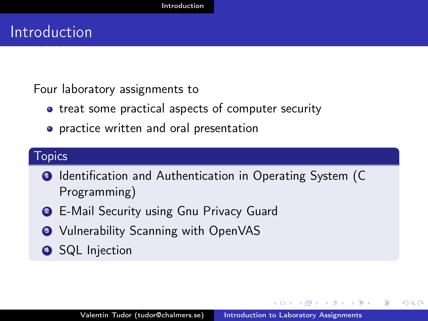## Introduction

Four laboratory assignments to

- treat some practical aspects of computer security
- **•** practice written and oral presentation

#### Topics

- **1** Identification and Authentication in Operating System (C) Programming)
- **2** E-Mail Security using Gnu Privacy Guard
- **3** Vulnerability Scanning with OpenVAS
- **4** SQL Injection

つくい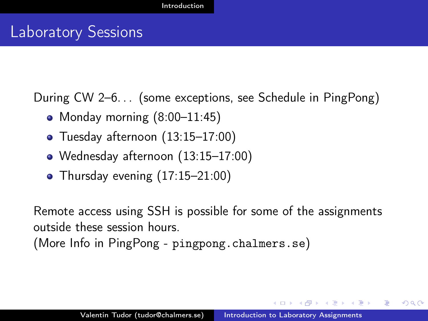### Laboratory Sessions

During CW 2–6. . . (some exceptions, see Schedule in PingPong)

- Monday morning (8:00–11:45)
- Tuesday afternoon (13:15–17:00)
- Wednesday afternoon (13:15–17:00)
- Thursday evening (17:15–21:00)

Remote access using SSH is possible for some of the assignments outside these session hours.

(More Info in PingPong - <pingpong.chalmers.se>)

つくい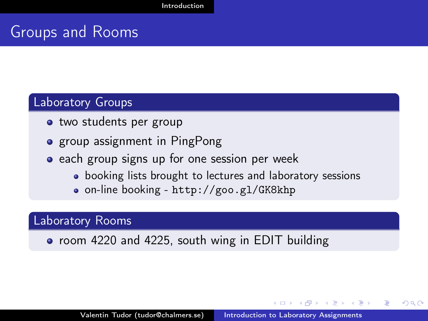## Groups and Rooms

#### Laboratory Groups

- two students per group
- **•** group assignment in PingPong
- each group signs up for one session per week
	- booking lists brought to lectures and laboratory sessions
	- on-line booking <http://goo.gl/GK8khp>

#### Laboratory Rooms

• room 4220 and 4225, south wing in EDIT building

つくい